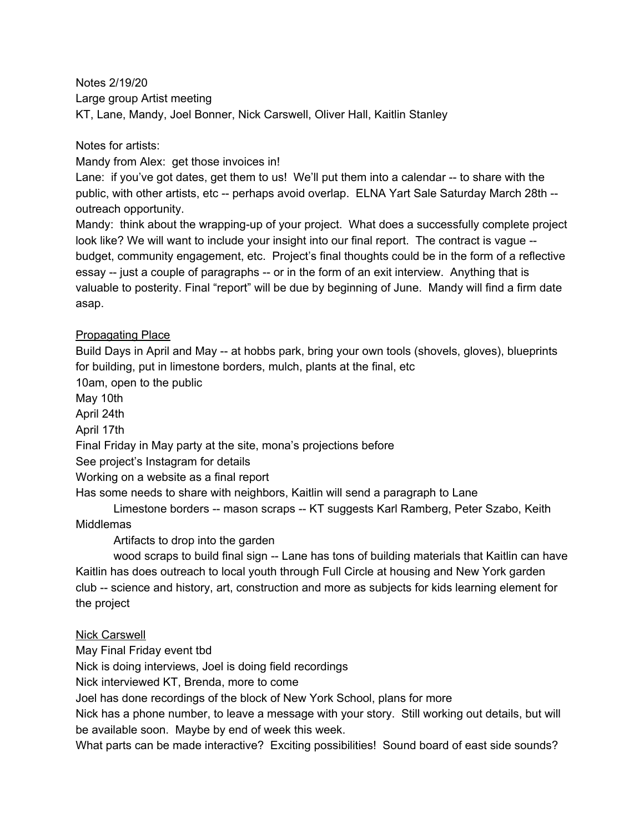Notes 2/19/20 Large group Artist meeting KT, Lane, Mandy, Joel Bonner, Nick Carswell, Oliver Hall, Kaitlin Stanley

Notes for artists:

Mandy from Alex: get those invoices in!

Lane: if you've got dates, get them to us! We'll put them into a calendar -- to share with the public, with other artists, etc -- perhaps avoid overlap. ELNA Yart Sale Saturday March 28th - outreach opportunity.

Mandy: think about the wrapping-up of your project. What does a successfully complete project look like? We will want to include your insight into our final report. The contract is vague -budget, community engagement, etc. Project's final thoughts could be in the form of a reflective essay -- just a couple of paragraphs -- or in the form of an exit interview. Anything that is valuable to posterity. Final "report" will be due by beginning of June. Mandy will find a firm date asap.

## Propagating Place

Build Days in April and May -- at hobbs park, bring your own tools (shovels, gloves), blueprints for building, put in limestone borders, mulch, plants at the final, etc

10am, open to the public

May 10th

April 24th

April 17th

Final Friday in May party at the site, mona's projections before

See project's Instagram for details

Working on a website as a final report

Has some needs to share with neighbors, Kaitlin will send a paragraph to Lane

Limestone borders -- mason scraps -- KT suggests Karl Ramberg, Peter Szabo, Keith **Middlemas** 

Artifacts to drop into the garden

wood scraps to build final sign -- Lane has tons of building materials that Kaitlin can have Kaitlin has does outreach to local youth through Full Circle at housing and New York garden club -- science and history, art, construction and more as subjects for kids learning element for the project

## Nick Carswell

May Final Friday event tbd

Nick is doing interviews, Joel is doing field recordings

Nick interviewed KT, Brenda, more to come

Joel has done recordings of the block of New York School, plans for more

Nick has a phone number, to leave a message with your story. Still working out details, but will be available soon. Maybe by end of week this week.

What parts can be made interactive? Exciting possibilities! Sound board of east side sounds?